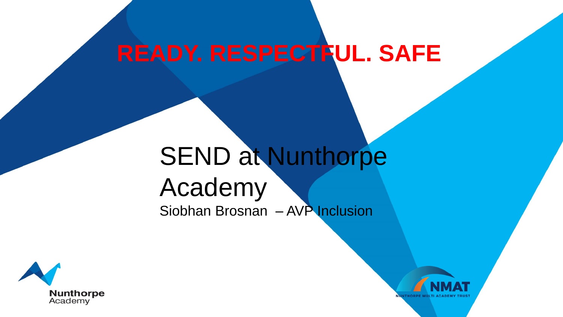# **READY. RESPECTFUL. SAFE**

## SEND at Nunthorpe Academy Siobhan Brosnan – AVP Inclusion



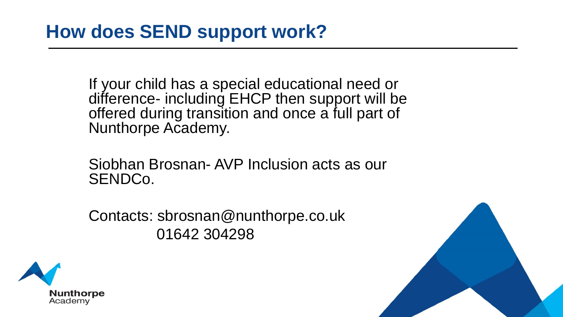If your child has a special educational need or difference- including EHCP then support will be offered during transition and once a full part of Nunthorpe Academy.

Siobhan Brosnan- AVP Inclusion acts as our SENDCo.

Contacts: sbrosnan@nunthorpe.co.uk 01642 304298



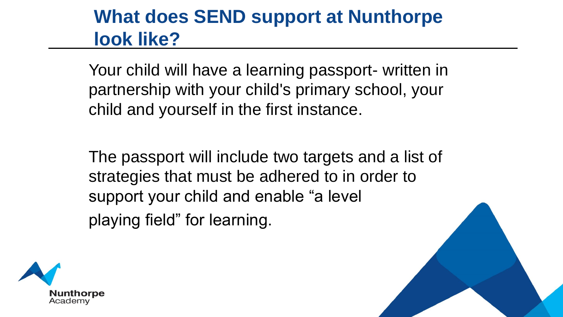### **What does SEND support at Nunthorpe look like?**

Your child will have a learning passport- written in partnership with your child's primary school, your child and yourself in the first instance.

The passport will include two targets and a list of strategies that must be adhered to in order to support your child and enable "a level playing field" for learning.



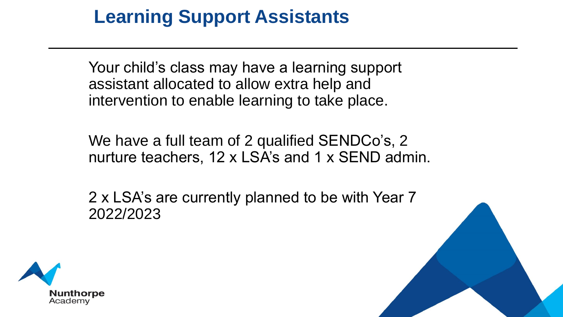### **Learning Support Assistants**

Your child's class may have a learning support assistant allocated to allow extra help and intervention to enable learning to take place.

We have a full team of 2 qualified SENDCo's, 2 nurture teachers, 12 x LSA's and 1 x SEND admin.

2 x LSA's are currently planned to be with Year 7 2022/2023

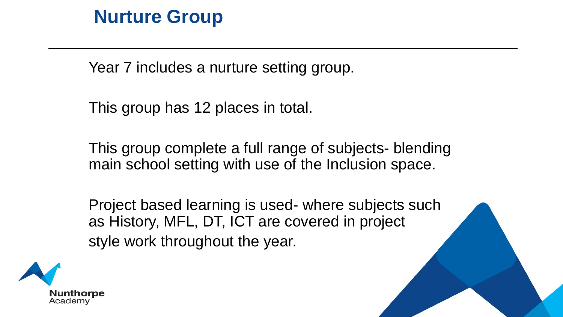#### **Nurture Group**

Year 7 includes a nurture setting group.

This group has 12 places in total.

This group complete a full range of subjects- blending main school setting with use of the Inclusion space.

Project based learning is used- where subjects such as History, MFL, DT, ICT are covered in project style work throughout the year.

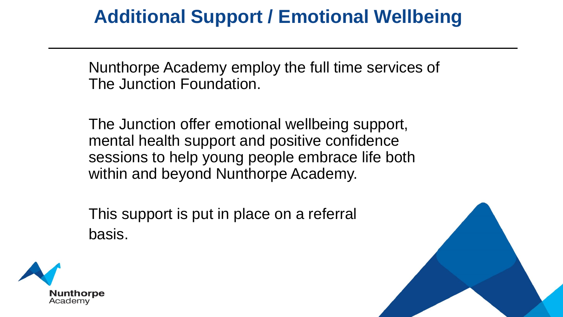### **Additional Support / Emotional Wellbeing**

Nunthorpe Academy employ the full time services of The Junction Foundation.

The Junction offer emotional wellbeing support, mental health support and positive confidence sessions to help young people embrace life both within and beyond Nunthorpe Academy.

This support is put in place on a referral basis.